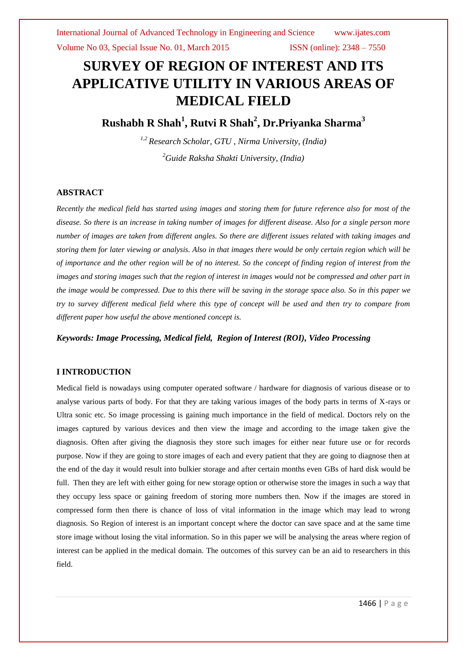# **SURVEY OF REGION OF INTEREST AND ITS APPLICATIVE UTILITY IN VARIOUS AREAS OF MEDICAL FIELD**

**Rushabh R Shah<sup>1</sup> , Rutvi R Shah<sup>2</sup> , Dr.Priyanka Sharma<sup>3</sup>**

*1,2 Research Scholar, GTU , Nirma University, (India) <sup>2</sup>Guide Raksha Shakti University, (India)*

## **ABSTRACT**

*Recently the medical field has started using images and storing them for future reference also for most of the disease. So there is an increase in taking number of images for different disease. Also for a single person more number of images are taken from different angles. So there are different issues related with taking images and storing them for later viewing or analysis. Also in that images there would be only certain region which will be of importance and the other region will be of no interest. So the concept of finding region of interest from the images and storing images such that the region of interest in images would not be compressed and other part in the image would be compressed. Due to this there will be saving in the storage space also. So in this paper we try to survey different medical field where this type of concept will be used and then try to compare from different paper how useful the above mentioned concept is.*

*Keywords: Image Processing, Medical field, Region of Interest (ROI), Video Processing* 

### **I INTRODUCTION**

Medical field is nowadays using computer operated software / hardware for diagnosis of various disease or to analyse various parts of body. For that they are taking various images of the body parts in terms of X-rays or Ultra sonic etc. So image processing is gaining much importance in the field of medical. Doctors rely on the images captured by various devices and then view the image and according to the image taken give the diagnosis. Often after giving the diagnosis they store such images for either near future use or for records purpose. Now if they are going to store images of each and every patient that they are going to diagnose then at the end of the day it would result into bulkier storage and after certain months even GBs of hard disk would be full. Then they are left with either going for new storage option or otherwise store the images in such a way that they occupy less space or gaining freedom of storing more numbers then. Now if the images are stored in compressed form then there is chance of loss of vital information in the image which may lead to wrong diagnosis. So Region of interest is an important concept where the doctor can save space and at the same time store image without losing the vital information. So in this paper we will be analysing the areas where region of interest can be applied in the medical domain. The outcomes of this survey can be an aid to researchers in this field.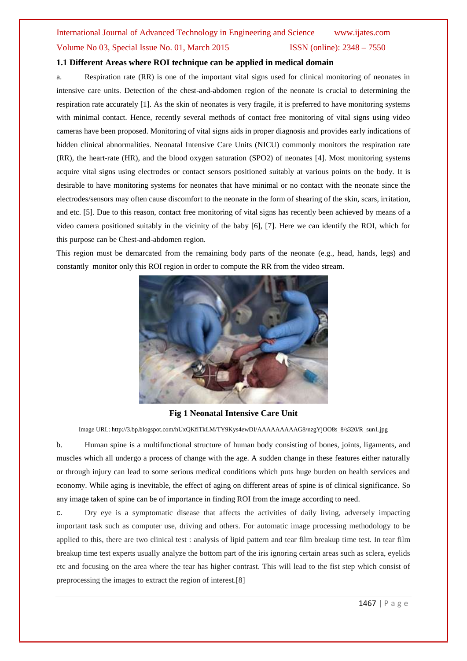# International Journal of Advanced Technology in Engineering and Science www.ijates.com Volume No 03, Special Issue No. 01, March 2015 ISSN (online): 2348 – 7550

## **1.1 Different Areas where ROI technique can be applied in medical domain**

a. Respiration rate (RR) is one of the important vital signs used for clinical monitoring of neonates in intensive care units. Detection of the chest-and-abdomen region of the neonate is crucial to determining the respiration rate accurately [1]. As the skin of neonates is very fragile, it is preferred to have monitoring systems with minimal contact. Hence, recently several methods of contact free monitoring of vital signs using video cameras have been proposed. Monitoring of vital signs aids in proper diagnosis and provides early indications of hidden clinical abnormalities. Neonatal Intensive Care Units (NICU) commonly monitors the respiration rate (RR), the heart-rate (HR), and the blood oxygen saturation (SPO2) of neonates [4]. Most monitoring systems acquire vital signs using electrodes or contact sensors positioned suitably at various points on the body. It is desirable to have monitoring systems for neonates that have minimal or no contact with the neonate since the electrodes/sensors may often cause discomfort to the neonate in the form of shearing of the skin, scars, irritation, and etc. [5]. Due to this reason, contact free monitoring of vital signs has recently been achieved by means of a video camera positioned suitably in the vicinity of the baby [6], [7]. Here we can identify the ROI, which for this purpose can be Chest-and-abdomen region.

This region must be demarcated from the remaining body parts of the neonate (e.g., head, hands, legs) and constantly monitor only this ROI region in order to compute the RR from the video stream.



### **Fig 1 Neonatal Intensive Care Unit**

Image URL: http://3.bp.blogspot.com/hUxQKflTkLM/TY9Kys4ewDI/AAAAAAAAAG8/nzgYjOO8s\_8/s320/R\_sun1.jpg

b. Human spine is a multifunctional structure of human body consisting of bones, joints, ligaments, and muscles which all undergo a process of change with the age. A sudden change in these features either naturally or through injury can lead to some serious medical conditions which puts huge burden on health services and economy. While aging is inevitable, the effect of aging on different areas of spine is of clinical significance. So any image taken of spine can be of importance in finding ROI from the image according to need.

c. Dry eye is a symptomatic disease that affects the activities of daily living, adversely impacting important task such as computer use, driving and others. For automatic image processing methodology to be applied to this, there are two clinical test : analysis of lipid pattern and tear film breakup time test. In tear film breakup time test experts usually analyze the bottom part of the iris ignoring certain areas such as sclera, eyelids etc and focusing on the area where the tear has higher contrast. This will lead to the fist step which consist of preprocessing the images to extract the region of interest.[8]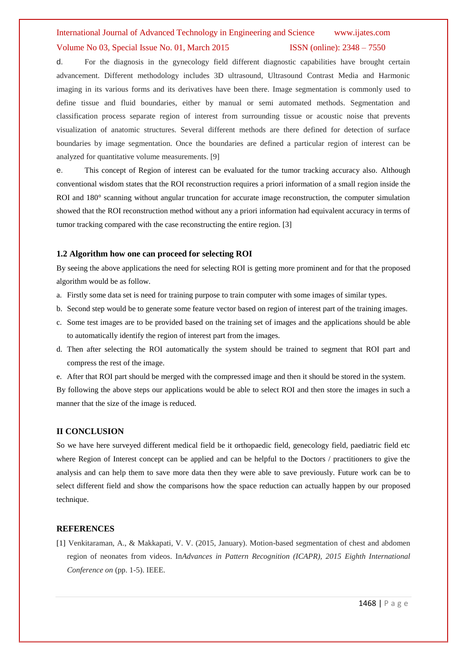# International Journal of Advanced Technology in Engineering and Science www.ijates.com Volume No 03, Special Issue No. 01, March 2015 ISSN (online):  $2348 - 7550$

d. For the diagnosis in the gynecology field different diagnostic capabilities have brought certain advancement. Different methodology includes 3D ultrasound, Ultrasound Contrast Media and Harmonic imaging in its various forms and its derivatives have been there. Image segmentation is commonly used to define tissue and fluid boundaries, either by manual or semi automated methods. Segmentation and classification process separate region of interest from surrounding tissue or acoustic noise that prevents visualization of anatomic structures. Several different methods are there defined for detection of surface boundaries by image segmentation. Once the boundaries are defined a particular region of interest can be analyzed for quantitative volume measurements. [9]

e. This concept of Region of interest can be evaluated for the tumor tracking accuracy also. Although conventional wisdom states that the ROI reconstruction requires a priori information of a small region inside the ROI and 180° scanning without angular truncation for accurate image reconstruction, the computer simulation showed that the ROI reconstruction method without any a priori information had equivalent accuracy in terms of tumor tracking compared with the case reconstructing the entire region. [3]

### **1.2 Algorithm how one can proceed for selecting ROI**

By seeing the above applications the need for selecting ROI is getting more prominent and for that the proposed algorithm would be as follow.

- a. Firstly some data set is need for training purpose to train computer with some images of similar types.
- b. Second step would be to generate some feature vector based on region of interest part of the training images.
- c. Some test images are to be provided based on the training set of images and the applications should be able to automatically identify the region of interest part from the images.
- d. Then after selecting the ROI automatically the system should be trained to segment that ROI part and compress the rest of the image.
- e. After that ROI part should be merged with the compressed image and then it should be stored in the system.

By following the above steps our applications would be able to select ROI and then store the images in such a manner that the size of the image is reduced.

#### **II CONCLUSION**

So we have here surveyed different medical field be it orthopaedic field, genecology field, paediatric field etc where Region of Interest concept can be applied and can be helpful to the Doctors / practitioners to give the analysis and can help them to save more data then they were able to save previously. Future work can be to select different field and show the comparisons how the space reduction can actually happen by our proposed technique.

#### **REFERENCES**

[1] Venkitaraman, A., & Makkapati, V. V. (2015, January). Motion-based segmentation of chest and abdomen region of neonates from videos. In*Advances in Pattern Recognition (ICAPR), 2015 Eighth International Conference on* (pp. 1-5). IEEE.